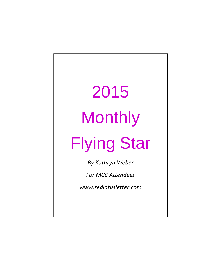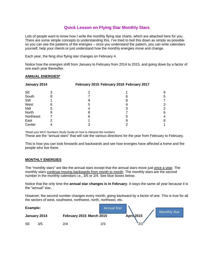#### **Quick Lesson on Flying Star Monthly Stars**

Lots of people want to know how I write the monthly flying star charts, which are attached here for you. There are some simple concepts to understanding this. I've tried to boil this down as simply as possible so you can see the patterns of the energies – once you understand the pattern, you can write calendars yourself, help your clients or just understand how the monthly energies move and change.

Each year, the feng shui flying star changes on February 4.

Notice how the energies shift from January to February from 2014 to 2015, and going down by a factor of one each year thereafter.

#### **ANNUAL ENERGIES\***

| January 2014 | February 2015 February 2016 February 2017 |  |   |
|--------------|-------------------------------------------|--|---|
|              |                                           |  |   |
| ö            |                                           |  | 5 |
|              |                                           |  |   |
| 6            | 5                                         |  | З |
| 5            |                                           |  |   |
| 9            |                                           |  | 6 |
|              | n                                         |  |   |
|              |                                           |  | 8 |
|              |                                           |  |   |
|              |                                           |  |   |

\*Read your MCC Numbers Study Guide on how to interpret the numbers

These are the "annual stars" that will rule the various directions for the year from February to February.

This is how you can look forwards and backwards and see how energies have affected a home and the people who live there.

#### **MONTHLY ENERGIES**

The "monthly stars" are like the annual stars except that the annual stars move just once a year. The monthly stars continue moving backwards from month to month. The monthly stars are the second number in the monthly calendars i.e., 3/5 or 2/4. See blue boxes below.

Notice that the only time the **annual star changes is in February**. It stays the same all year because it is the "annual" star.

However, the second number changes every month, going backward by a factor of one. This is true for all the sectors of west, southwest, northwest, north, northeast, etc.

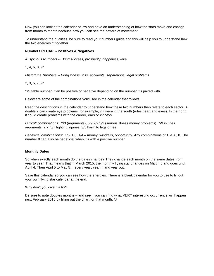Now you can look at the calendar below and have an understanding of how the stars move and change from month to month because now you can see the pattern of movement.

To understand the qualities, be sure to read your numbers guide and this will help you to understand how the two energies fit together.

#### **Numbers RECAP -- Positives & Negatives**

*Auspicious Numbers -- Bring success, prosperity, happiness, love* 

1, 4, 6, 8, 9\*

*Misfortune Numbers -- Bring illness, loss, accidents, separations, legal problems* 

#### 2, 3, 5, 7, 9\*

\*Mutable number. Can be positive or negative depending on the number it's paired with.

Below are some of the combinations you'll see in the calendar that follows.

Read the descriptions in the calendar to understand how these two numbers then relate to each sector. A double 2 can create eye problems, for example, if it were in the south (rules heart and eyes). In the north, it could create problems with the career, ears or kidneys.

*Difficult combinations:* 2/3 (arguments), 5/9 2/9 5/2 (serious illness money problems), 7/9 injuries arguments, 2/7, 5/7 fighting injuries, 3/5 harm to legs or feet.

*Beneficial combinations:* 1/6, 1/8, 1/4 – money, windfalls, opportunity. Any combinations of 1, 4, 6, 8. The number 9 can also be beneficial when it's with a positive number.

#### **Monthly Dates**

So when exactly each month do the dates change? They change each month on the same dates from year to year. That means that in March 2015, the monthly flying star changes on March 6 and goes until April 4. Then April 5 to May 5….every year, year in and year out.

Save this calendar so you can see how the energies. There is a blank calendar for you to use to fill out your own flying star calendar at the end.

Why don't you give it a try?

Be sure to note doubles months – and see if you can find what VERY interesting occurrence will happen next February 2016 by filling out the chart for that month.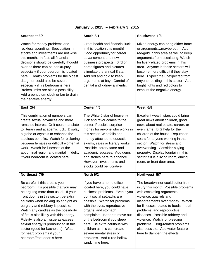| Southeast 3/5                                                                                                                                                                                                                                                                                                                                                                                                                                                                                             | South 8/1                                                                                                                                                                                                                                                                                                                                                                                                                                                                                                                                                                                                                                                                                                                        | Southwest 1/3                                                                                                                                                                                                                                                                                                                                                                                                       |  |
|-----------------------------------------------------------------------------------------------------------------------------------------------------------------------------------------------------------------------------------------------------------------------------------------------------------------------------------------------------------------------------------------------------------------------------------------------------------------------------------------------------------|----------------------------------------------------------------------------------------------------------------------------------------------------------------------------------------------------------------------------------------------------------------------------------------------------------------------------------------------------------------------------------------------------------------------------------------------------------------------------------------------------------------------------------------------------------------------------------------------------------------------------------------------------------------------------------------------------------------------------------|---------------------------------------------------------------------------------------------------------------------------------------------------------------------------------------------------------------------------------------------------------------------------------------------------------------------------------------------------------------------------------------------------------------------|--|
| Watch for money problems and<br>reckless spending. Speculation in<br>stocks and investments are not wise<br>this month. In fact, all financial<br>decisions should be carefully thought<br>over as there can be bankruptcy -<br>especially if your bedroom is located<br>here. Health problems for the oldest<br>daughter could also be severe,<br>especially if his bedroom is here.<br>Broken limbs are also a possibility.<br>Add a pendulum clock or fan to drain<br>the negative energy.             | Great health and financial luck<br>Mixed energy can bring either fame<br>in this location this month!<br>or argumentsmaybe both. Add<br>red/gold in this area as well to keep<br>Good opportunity for career<br>advancement and new<br>arguments from escalating. Watch<br>for liver-related problems in this<br>business prospects. Bird or<br>horse figures and pictures<br>area. Anyone in these sectors will<br>stimulate the annual 8 star.<br>become more difficult if they stay<br>Add red and gold to keep<br>here. Expect the unexpected from<br>arguments at bay. Careful of<br>anyone residing in this sector. Add<br>genital and kidney ailments.<br>bright lights and red colors to<br>exhaust the negative energy. |                                                                                                                                                                                                                                                                                                                                                                                                                     |  |
| East 2/4                                                                                                                                                                                                                                                                                                                                                                                                                                                                                                  | Center 4/6                                                                                                                                                                                                                                                                                                                                                                                                                                                                                                                                                                                                                                                                                                                       | West 6/8                                                                                                                                                                                                                                                                                                                                                                                                            |  |
| This combination of numbers can<br>create sexual advances and more<br>romantic interest. Or it could translate<br>to literary and academic luck. Display<br>a globe or crystals to enhance the<br>studious benefits. Watch for bickering<br>between females or difficult women at<br>work. Watch for illnesses of the<br>abdominal region and marital infidelity<br>if your bedroom is located here.                                                                                                      | The White 6 star of heavenly<br>luck and favor comes to the<br>center. Possible surprise<br>money for anyone who works in<br>this sector. Windfalls and<br>money attached to education,<br>exams, sales or literary works.<br>Possible literary fame and<br>academic success. Add gems<br>and stones here to enhance.<br>However, investments and<br>stocks could be lucrative.                                                                                                                                                                                                                                                                                                                                                  | Excellent wealth stars could bring<br>great news about children, good<br>news about real estate, career, or<br>even fame. BIG help for the<br>children of the house! Reputation<br>soars for anyone working in this<br>sector. Watch for stress and<br>overworking. Consider buying<br>property. Display fountain in this<br>sector if it is a living room, dining,<br>room, or front door area.                    |  |
| Northeast 7/9                                                                                                                                                                                                                                                                                                                                                                                                                                                                                             | North 9/2                                                                                                                                                                                                                                                                                                                                                                                                                                                                                                                                                                                                                                                                                                                        | Northwest 5/7                                                                                                                                                                                                                                                                                                                                                                                                       |  |
| Be careful if this area is your<br>bedroom. It's possible that you may<br>be arguing more than usual. If your<br>front door is in this sector, be extra<br>cautious when locking up at night as<br>burglary and robbery is possible.<br>Watch any candles as the possibility<br>of fire is also likely with this energy.<br>Fidelity is also an issue as excess<br>sexual energy is pronounced in this<br>sector (good for bachelors). Watch<br>for heart problems if your<br>bedroom/front door is here. | If you have a home office<br>located here, you could have<br>business problems. Even if you<br>don't social setbacks are<br>possible. Watch for problems<br>with the eyes, reproductive<br>organs, and stomach<br>complaints. Better to move out<br>of the bedroom if you sleep<br>here. Be extra cautious with<br>children as this can create<br>severe mental stress or<br>problems. Add 6-rod hollow<br>windchime here.                                                                                                                                                                                                                                                                                                       | The breadwinner could suffer from<br>injury this month. Possible problems<br>with escalating arguments,<br>violence, quarrels and<br>disagreements over money. Watch<br>for illnesses related to foods, mouth<br>problems, and reproductive<br>diseases. Possible robbery and<br>violence. Watch for bleeding<br>problems. Drug-related problems<br>also possible. Add water feature<br>here to dampen the effects. |  |

# **January 5, 2015 – February 3, 2015**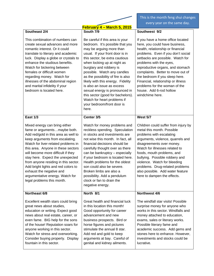| <b>February 4 – March 5, 2015</b> |
|-----------------------------------|

This is the month feng shui changes every year on the same day.

| Southeast 2/4                                                                                                                                                                                                                                                                                                                                                                                                                                                               | South 7/9                                                                                                                                                                                                                                                                                                                                                                                                                                                                                                          | Southwest 9/2                                                                                                                                                                                                                                                                                                                                                                                                                                 |  |
|-----------------------------------------------------------------------------------------------------------------------------------------------------------------------------------------------------------------------------------------------------------------------------------------------------------------------------------------------------------------------------------------------------------------------------------------------------------------------------|--------------------------------------------------------------------------------------------------------------------------------------------------------------------------------------------------------------------------------------------------------------------------------------------------------------------------------------------------------------------------------------------------------------------------------------------------------------------------------------------------------------------|-----------------------------------------------------------------------------------------------------------------------------------------------------------------------------------------------------------------------------------------------------------------------------------------------------------------------------------------------------------------------------------------------------------------------------------------------|--|
| This combination of numbers can<br>create sexual advances and more<br>romantic interest. Or it could<br>translate to literary and academic<br>luck. Display a globe or crystals to<br>enhance the studious benefits.<br>Watch for bickering between<br>females or difficult women<br>regarding money. Watch for<br>illnesses of the abdominal region<br>and marital infidelity if your<br>bedroom is located here.                                                          | Be careful if this area is your<br>bedroom. It's possible that you<br>may be arguing more than<br>usual. If your front door is in<br>this sector, be extra cautious<br>when locking up at night as<br>burglary and robbery is<br>possible. Watch any candles<br>as the possibility of fire is also<br>likely with this energy. Fidelity<br>is also an issue as excess<br>sexual energy is pronounced in<br>this sector (good for bachelors).<br>Watch for heart problems if<br>your bedroom/front door is<br>here. | If you have a home office located<br>here, you could have business,<br>health, relationship or financial<br>problems. Even if you don't social<br>setbacks are possible. Watch for<br>problems with the eyes,<br>reproductive organs, and stomach<br>complaints. Better to move out of<br>the bedroom if you sleep here.<br>Financial, relationship or illness<br>problems for the woman of the<br>house. Add 6-rod hollow<br>windchime here. |  |
| <b>East 1/3</b>                                                                                                                                                                                                                                                                                                                                                                                                                                                             | Center 3/5                                                                                                                                                                                                                                                                                                                                                                                                                                                                                                         | <b>West 5/7</b>                                                                                                                                                                                                                                                                                                                                                                                                                               |  |
| Mixed energy can bring either<br>fame or argumentsmaybe both.<br>Add red/gold in this area as well to<br>keep arguments from escalating.<br>Watch for liver-related problems in<br>this area. Anyone in these sectors<br>will become more difficult if they<br>stay here. Expect the unexpected<br>from anyone residing in this sector.<br>Add bright lights and red colors to<br>exhaust the negative and<br>argumentative energy. Watch for<br>legal problems this month. | Watch for money problems and<br>reckless spending. Speculation<br>in stocks and investments are<br>not wise this month. In fact, all<br>financial decisions should be<br>carefully thought over as there<br>can be bankruptcy - especially<br>if your bedroom is located here.<br>Health problems for the oldest<br>son could also be severe.<br>Broken limbs are also a<br>possibility. Add a pendulum<br>clock or fan to drain the<br>negative energy.                                                           | Children could suffer from injury by<br>metal this month. Possible<br>problems with escalating<br>arguments, violence, quarrels and<br>disagreements over money.<br>Watch for illnesses related to<br>foods, mouth problems, and<br>bullying. Possible robbery and<br>violence. Watch for bleeding<br>problems. Drug-related problems<br>also possible. Add water feature<br>here to dampen the effects.                                      |  |
| Northeast 6/8                                                                                                                                                                                                                                                                                                                                                                                                                                                               | North 8/1                                                                                                                                                                                                                                                                                                                                                                                                                                                                                                          | Northwest 4/6                                                                                                                                                                                                                                                                                                                                                                                                                                 |  |
| Excellent wealth stars could bring<br>great news about studies,<br>education or writing. Expect good<br>news about real estate, career, or<br>even fame. BIG help for the sons<br>of the house! Reputation soars for<br>anyone working in this sector.<br>Watch for stress and overworking.<br>Consider buying property. Display<br>fountain in this sector.                                                                                                                | Great health and financial luck<br>in this location this month!<br>Good opportunity for career<br>advancement and new<br>business prospects. Bird or<br>horse figures and pictures<br>stimulate the annual 8 star.<br>Add red and gold to keep<br>arguments at bay. Careful of<br>genital and kidney ailments.                                                                                                                                                                                                     | The windfall star visits! Possible<br>surprise money for anyone who<br>works in this sector. Windfalls and<br>money attached to education,<br>exams, sales or literary works.<br>Possible literary fame and<br>academic success. Add gems and<br>stones here to enhance. However,<br>investments and stocks could be<br>lucrative.                                                                                                            |  |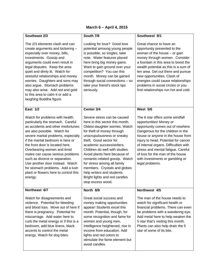# **March 6 – April 4, 2015**

| Southeast 2/3                                                                                                                                                                                                                                                                                                                                                                                                                                                                             | South 7/8                                                                                                                                                                                                                                                                                                                                                                                                                                                                  | Southwest 9/1                                                                                                                                                                                                                                                                                                                                                                                      |
|-------------------------------------------------------------------------------------------------------------------------------------------------------------------------------------------------------------------------------------------------------------------------------------------------------------------------------------------------------------------------------------------------------------------------------------------------------------------------------------------|----------------------------------------------------------------------------------------------------------------------------------------------------------------------------------------------------------------------------------------------------------------------------------------------------------------------------------------------------------------------------------------------------------------------------------------------------------------------------|----------------------------------------------------------------------------------------------------------------------------------------------------------------------------------------------------------------------------------------------------------------------------------------------------------------------------------------------------------------------------------------------------|
| The 2/3 elements clash and can<br>create arguments and bickering -<br>especially over money, bills,<br>investments. Gossip and<br>arguments could even result in<br>legal disputes. Keep the area<br>quiet and dimly lit. Watch for<br>stressful relationships and money<br>worries. Daughters and sons may<br>also argue. Stomach problems<br>may also arise. Add red and gold<br>to this area to calm it or add a<br>laughing Buddha figure.                                            | Looking for love? Good love<br>potential amoung young people<br>is possible, so singles, take<br>note. Water features placed<br>here bring big money gains.<br>Want to gain ground over your<br>competition? You can this<br>month. Money can be gained<br>through social connections - so<br>take your friend's stock tips<br>seriously.                                                                                                                                  | Great chance to have an<br>opportunity presented to the<br>woman of the house $-$ or gain<br>money through women. Consider<br>a fountain in this area to boost the<br>wealth potential as this is a sum of<br>ten area. Get out there and pursue<br>new opportunities. Clash of<br>energies could cause relationships<br>problems in social circles or you<br>find relationships run hot and cold. |
| <b>East 1/2</b>                                                                                                                                                                                                                                                                                                                                                                                                                                                                           | Center 3/4                                                                                                                                                                                                                                                                                                                                                                                                                                                                 | <b>West 5/6</b>                                                                                                                                                                                                                                                                                                                                                                                    |
| Watch for problems with health,<br>particularly the stomach. Careful<br>as accidents and other misfortunes<br>are also possible. Watch for<br>severe marital problems, especially<br>if the marital bedroom is here or<br>the front door is located here.<br>Overbearing women and timid<br>males can cause serious problems<br>such as divorce or separation.<br>Use another door instead. Watch<br>for stomach problems. Add a lush<br>plant or flowers here to control this<br>energy. | Severe stress can be caused<br>here in this sector this month.<br>Oldest daughter worries. Watch<br>for theft of money through<br>unscrupulousness or sneaky<br>theft. Good sector for<br>academic success/writers.<br>Children do well with studies.<br>Avoid plants here because of<br>romantic-related gossip. Watch<br>for stress among all family<br>members. Crystals and globes<br>help writers and students.<br>Bright lights and red candles<br>stop excess wood. | The 6 star offers some windfall<br>opportunities! Money or<br>opportunity comes out of nowhere.<br>Dangerous for the children in the<br>house or anyone in the house from<br>injury to head. Potential for cancer<br>of internal organs. Difficulties with<br>stress and mental fatigue. Careful<br>of loss for the man of the house<br>with investments or gambling or<br>legal problems.         |
| Northeast 6/7                                                                                                                                                                                                                                                                                                                                                                                                                                                                             | North 8/9                                                                                                                                                                                                                                                                                                                                                                                                                                                                  | Northwest 4/5                                                                                                                                                                                                                                                                                                                                                                                      |
| Watch for disagreements and<br>violence. Potential for bleeding<br>and blood loss. Move out of here if<br>there is pregnancy. Potential for<br>miscarriage. Add water here to<br>curb the metal energy or if this is a<br>bedroom, add blue linens, black<br>accents to control the metal<br>energy. Watch for dog bites.                                                                                                                                                                 | Great social success and<br>money making opportunities<br>appear! Students excel this<br>month. Potential, though, for<br>some recognition and fame for<br>women and young men.<br>Intelligence heightened, rise in<br>income from education. Add<br>lights and red colors to<br>stimulate the fame element but<br>avoid candles.                                                                                                                                          | The man of the house needs to<br>watch for significant health or<br>financial problems. There can even<br>be problems with a wandering eye.<br>Add metal here to help weaken the<br>5 star that's visiting this month.<br>Plants can also help drain the 5<br>star of some of its bite.                                                                                                            |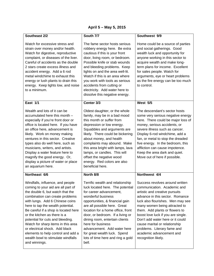# **April 5 – May 5, 2015**

| Southeast 2/2                                                                                                                                                                                                                                                                                                                                                                                                                                                                                          | South 7/7                                                                                                                                                                                                                                                                                                                                                                                                                             | Southwest 9/9                                                                                                                                                                                                                                                                                                                                                                                                                            |
|--------------------------------------------------------------------------------------------------------------------------------------------------------------------------------------------------------------------------------------------------------------------------------------------------------------------------------------------------------------------------------------------------------------------------------------------------------------------------------------------------------|---------------------------------------------------------------------------------------------------------------------------------------------------------------------------------------------------------------------------------------------------------------------------------------------------------------------------------------------------------------------------------------------------------------------------------------|------------------------------------------------------------------------------------------------------------------------------------------------------------------------------------------------------------------------------------------------------------------------------------------------------------------------------------------------------------------------------------------------------------------------------------------|
| Watch for excessive stress and<br>strain over money and/or health.<br>Watch for digestive, reproductive<br>complaint, or diseases of the liver.<br>Careful of accidents as the double<br>2 stars create excess illness and<br>accident energy. Add a 6 rod<br>metal windchime to exhaust this<br>energy or lush plants to drain this<br>energy. Keep lights low, and noise<br>to a minimum.                                                                                                            | The fame sector hosts serious<br>robbery energy here. Be extra<br>cautious if this is your front<br>door, living room, or bedroom.<br>Possible knife or stab wounds<br>and bleeding problems. Keep<br>lights on and the area well-lit.<br>Watch if this is an area where<br>you work with tools as serious<br>accidents from cutting or<br>electricity. Add water here to<br>dissolve this negative energy.                           | Home could be a source of parties<br>and social gatherings. Good<br>wealth luck and opportunity for<br>anyone working in this sector to<br>acquire wealth and make long-<br>term plans for income. Excellent<br>for sales people. Watch for<br>arguments, eye or heart problems<br>as the fire energy can be too much<br>to control.                                                                                                     |
| East $1/1$                                                                                                                                                                                                                                                                                                                                                                                                                                                                                             | Center 3/3                                                                                                                                                                                                                                                                                                                                                                                                                            | <b>West 5/5</b>                                                                                                                                                                                                                                                                                                                                                                                                                          |
| Wealth and lots of it can be<br>accumulated here this month -<br>especially if you're front door or<br>office is located here. If you have<br>an office here, advancement is<br>likely. Work on money making<br>ventures in this sector. Creative<br>types also do well here, such as<br>musicians, writers, and artists.<br>Display a water feature here to<br>magnify the good energy. Or,<br>display a picture of water or place<br>an aquarium here.                                               | Oldest daughter, or the whole<br>family, may be in a bad mood<br>this month or suffer from<br>depression or low energy.<br>Squabbles and arguments are<br>likely. There could be bickering<br>about money, and health<br>complaints may abound. Make<br>this area bright with lamps, lava<br>lamps, or candles. This will<br>offset the negative wood<br>energy. Red colors are also<br>beneficial here.                              | The descendant's sector hosts<br>some very serious negative energy<br>here. There could be major loss of<br>money, serious accidents, or<br>severe illness such as cancer.<br>Display 6-rod windchime, add a<br>fan, or metal to stop the dreaded<br>five energy. In the bedroom, this<br>affliction can cause impotence.<br>Keep the area dark and quiet.<br>Move out of here if possible.                                              |
| Northeast 6/6                                                                                                                                                                                                                                                                                                                                                                                                                                                                                          | North 8/8                                                                                                                                                                                                                                                                                                                                                                                                                             | Northwest 4/4                                                                                                                                                                                                                                                                                                                                                                                                                            |
| Windfalls, influence, and people<br>coming to your aid are all part of<br>the double 6, but watch that the<br>combination can create problems<br>with lungs. Add 6 Chinese coins<br>here to tap the wealth potential.<br>Be careful if a shop is located here<br>or the kitchen as there is a<br>potential for cuts and bleeding.<br>Watch for sharp items in this area<br>or electrical shock. Add black<br>elements to help control and add a<br>wealth bowl to stimulate windfalls<br>and winnings. | Terrific wealth and relationship<br>luck located here. The potential<br>for career advancement,<br>wonderful business<br>opportunities, & financial gain<br>are all possible here. Great<br>location for a home office, front<br>door, or bedroom. If a living or<br>dining room, entertain clients<br>here for business<br>advancement. Add water here<br>for great wealth luck. Spend<br>lots of time here and ring a gold<br>bell. | Success revolves around written<br>communication. Academic and<br>artistic and creative pursuits<br>advance in this sector. Romance<br>luck also flourishes. Men may see<br>many women being attracted to<br>them. Add plants or flowers to<br>boost love luck if you are single.<br>Don't add water here or it could<br>cause marital or relationship<br>problems. Literary fame and<br>academic advancement and<br>recognition likely. |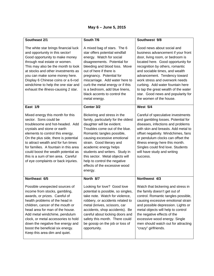# **May 6 – June 5, 2015**

| Southeast 2/1                                                                                                                                                                                                                                                                                                                                                                                               | South 7/6                                                                                                                                                                                                                                                                                                                                                                                             | Southwest 9/8                                                                                                                                                                                                                                                                                                                                                                                                                  |
|-------------------------------------------------------------------------------------------------------------------------------------------------------------------------------------------------------------------------------------------------------------------------------------------------------------------------------------------------------------------------------------------------------------|-------------------------------------------------------------------------------------------------------------------------------------------------------------------------------------------------------------------------------------------------------------------------------------------------------------------------------------------------------------------------------------------------------|--------------------------------------------------------------------------------------------------------------------------------------------------------------------------------------------------------------------------------------------------------------------------------------------------------------------------------------------------------------------------------------------------------------------------------|
| The white star brings financial luck<br>and opportunity in this sector!<br>Good opportunity to make money<br>through real estate or women.<br>This may also be the month to look<br>at stocks and other investments as<br>you can make some money here.<br>Display 6 Chinese coins or a 6-rod<br>windchime to help the one star and<br>exhaust the illness-causing 2 star.                                  | A mixed bag of stars. The 6<br>star offers potential windfall<br>energy. Watch for social<br>disagreements. Potential for<br>bleeding and blood loss. Move<br>out of here if there is<br>pregnancy. Potential for<br>miscarriage. Add water here to<br>curb the metal energy or if this<br>is a bedroom, add blue linens,<br>black accents to control the<br>metal energy.                            | Good news about social and<br>business advancement if your front<br>door, living room, or bedroom is<br>located here. Good opportunity for<br>recognition by others, romantic<br>and sociable times, and wealth<br>advancement. Tendency toward<br>work stress and overwork needs<br>curbing. Add water fountain here<br>to tap the great wealth of the water<br>star. Good news and popularity for<br>the women of the house. |
| <b>East 1/9</b>                                                                                                                                                                                                                                                                                                                                                                                             | Center 3/2                                                                                                                                                                                                                                                                                                                                                                                            | West 5/4                                                                                                                                                                                                                                                                                                                                                                                                                       |
| Mixed energy this month for this<br>sector. Sons could be<br>troublesome and hot-headed. Add<br>crystals and stone or earth<br>elements to control this energy.<br>On the plus side, there is potential<br>to attract wealth and for fun times<br>for families. A fountain in this area<br>could boost the wealth potential as<br>this is a sum of ten area. Careful<br>of eye complaints or back injuries. | Bickering and stress in the<br>family, particularly for the oldest<br>daughter will be evident.<br>Troubles come out of the blue.<br>Romantic tangles possible,<br>causing excessive emotional<br>strain. Good literary and<br>academic energy helps<br>students and writers. Study in<br>this sector. Metal objects will<br>help to control the negative<br>effects of the excessive wood<br>energy. | Careful of speculative investments<br>and gambling losses. Potential for<br>diseases, infections and problems<br>with skin and breasts. Add metal to<br>offset negativity. Windchimes, fans<br>or pendulum clocks can offset the<br>illness energy here this month.<br>Singles could find love. Students<br>will have study and writing<br>success.                                                                            |
| Northeast 6/5                                                                                                                                                                                                                                                                                                                                                                                               | North 8/7                                                                                                                                                                                                                                                                                                                                                                                             | Northwest 4/3                                                                                                                                                                                                                                                                                                                                                                                                                  |
| Possible unexpected sources of<br>income from stocks, gambling,<br>awards, or prizes. Careful of<br>health problems of the head in<br>children, cancer of the mouth or<br>head area for man of the house.<br>Add metal windchime, pendulum<br>clock, or metal accessories to hold<br>down the negative five energy and<br>boost the beneficial six energy.<br>Keep this area dim and quiet.                 | Looking for love? Good love<br>potential is possible, so singles,<br>take note. Watch for violence,<br>robbery, or accidents related to<br>metal (knives, scissors, car<br>accidents, shop accidents). Be<br>careful about locking doors and<br>safety this month. There could<br>be gossip on the job or loss of<br>opportunity.                                                                     | Watch that bickering and stress in<br>the family doesn't get out of<br>control. Romantic tangles possible,<br>causing excessive emotional strain<br>and possible depression. Lights or<br>metal objects will help to control<br>the negative effects of the<br>excessive wood energy. Single<br>men should watch out for attracting<br>"crazy" girlfriends.                                                                    |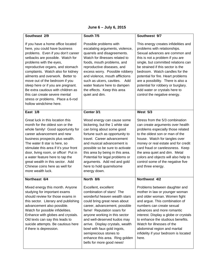# **June 6 – July 6, 2015**

| Southeast 2/9                                                                                                                                                                                                                                                                                                                                                                                                                                                                                      | South 7/5                                                                                                                                                                                                                                                                                                                                                                                                     | Southwest 9/7                                                                                                                                                                                                                                                                                                                                                                                                                               |
|----------------------------------------------------------------------------------------------------------------------------------------------------------------------------------------------------------------------------------------------------------------------------------------------------------------------------------------------------------------------------------------------------------------------------------------------------------------------------------------------------|---------------------------------------------------------------------------------------------------------------------------------------------------------------------------------------------------------------------------------------------------------------------------------------------------------------------------------------------------------------------------------------------------------------|---------------------------------------------------------------------------------------------------------------------------------------------------------------------------------------------------------------------------------------------------------------------------------------------------------------------------------------------------------------------------------------------------------------------------------------------|
| If you have a home office located<br>here, you could have business<br>problems. Even if you don't career<br>setbacks are possible. Watch for<br>problems with the eyes,<br>reproductive organs, and stomach<br>complaints. Watch also for kidney<br>ailments and overwork. Better to<br>move out of the bedroom if you<br>sleep here or if you are pregnant.<br>Be extra cautious with children as<br>this can create severe mental<br>stress or problems. Place a 6-rod<br>hollow windchime here. | Possible problems with<br>escalating arguments, violence,<br>quarrels and disagreements.<br>Watch for illnesses related to<br>foods, mouth problems, and<br>reproductive diseases, and<br>excess worry. Possible robbery<br>and violence, mouth afflictions<br>such as ulcers, cavities.<br>Add<br>water feature here to dampen<br>the effects. Keep this area<br>quiet and dim.                              | This energy creates infidelities and<br>problems with relationships.<br>Sexual advances are common and<br>this is not a problem if you are<br>single, but committed relations can<br>be strained if this sector is the<br>bedroom. Watch candles for the<br>potential for fire. Heart problems<br>are a possibility. There is also a<br>potential for robbery or burglary.<br>Add water or crystals here to<br>control the negative energy. |
| East 1/8                                                                                                                                                                                                                                                                                                                                                                                                                                                                                           | Center 3/1                                                                                                                                                                                                                                                                                                                                                                                                    | <b>West 5/3</b>                                                                                                                                                                                                                                                                                                                                                                                                                             |
| Great luck in this location this<br>month for the oldest son or the<br>whole family! Good opportunity for<br>career advancement and new<br>business prospects plus wealth.<br>The water 8 star is here, so<br>stimulate this area if it's your front<br>door, living room, or office! Put in<br>a water feature here to tap the<br>great wealth in this sector. Add<br>Chinese coins here as well for<br>more wealth luck.                                                                         | Wood energy can cause some<br>bickering, but the 1 white star<br>can bring about some good<br>fortune such as opportunity to<br>travel. Career advancement<br>and musical advancement is<br>possible so be sure to activate<br>this area by being in this area.<br>Potential for legal problems or<br>arguments. Add red and gold<br>here to hold quarrelsome<br>energy down.                                 | Stress from the 5/3 combination<br>can create arguments over health<br>problems especially those related<br>to the oldest son or man of the<br>house. Watch for tangles over<br>money or real estate and for credit<br>card fraud or carelessness. Keep<br>the area quiet and dim. Metal<br>colors and objects will also help to<br>control some of the negative five<br>and three energy.                                                  |
| Northeast 6/4                                                                                                                                                                                                                                                                                                                                                                                                                                                                                      | North 8/6                                                                                                                                                                                                                                                                                                                                                                                                     | Northwest 4/2                                                                                                                                                                                                                                                                                                                                                                                                                               |
| Mixed energy this month. Anyone<br>studying for important exams<br>should review for those exams in<br>this sector. Literary and publishing<br>advancement also possible.<br>Watch for possible infidelities.<br>Enhance with globes and crystals.<br>Old texts can say this leads to<br>suicide attempts. Be cautious here<br>if there is depression.                                                                                                                                             | Excellent, excellent<br>combination of stars! The<br>wonderful heaven wealth stars<br>could bring great news about<br>career, advancement, possible<br>fame! Reputation soars for<br>anyone working in this sector<br>and well-deserved kudos may<br>arrive. Display crystals, wealth<br>bowl with faux gold ingots,<br>semiprecious stones to<br>enhance this area. Ring golden<br>bells for more good news! | Problems between daughter and<br>mother in law or younger woman<br>and older woman. Women fight<br>and argue. This combination of<br>numbers can create sexual<br>advances and more romantic<br>interest. Display a globe or crystals<br>to enhance the studious benefits.<br>Watch for illnesses of the<br>abdominal region and marital<br>infidelity if your bedroom is located<br>here.                                                  |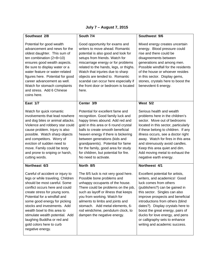# **July 7 – August 7, 2015**

| Southeast 2/8                                                                                                                                                                                                                                                                                                                                                                                                           | South 7/4                                                                                                                                                                                                                                                                                                                                                                                                  | Southwest 9/6                                                                                                                                                                                                                                                                                                                                                                                                        |
|-------------------------------------------------------------------------------------------------------------------------------------------------------------------------------------------------------------------------------------------------------------------------------------------------------------------------------------------------------------------------------------------------------------------------|------------------------------------------------------------------------------------------------------------------------------------------------------------------------------------------------------------------------------------------------------------------------------------------------------------------------------------------------------------------------------------------------------------|----------------------------------------------------------------------------------------------------------------------------------------------------------------------------------------------------------------------------------------------------------------------------------------------------------------------------------------------------------------------------------------------------------------------|
| Potential for good wealth<br>advancement and news for the<br>oldest daughter. This sum of<br>ten combination $(2+8=10)$<br>ensures good wealth aspects.<br>Be sure to display water or a<br>water feature or water-related<br>figures here. Potential for good<br>career advancement as well.<br>Watch for stomach complaints<br>and stress. Add 6 Chinese<br>coins here.                                               | Good opportunity for exams and<br>writers to move ahead. Romantic<br>potential is also good and look for<br>setups from friends. Watch for<br>miscarriage energy or for problems<br>related to the hands, legs, or thighs.<br>Watch that injuries due to sharp<br>objects are tended to. Romantic<br>scandal can occur here especially if<br>the front door or bedroom is located<br>here.                 | Mixed energy creates uncertain<br>energy. Blood pressure could<br>rise and there could be<br>disagreements between<br>generations and among men.<br>Possible windfall for the residents<br>of the house or whoever resides<br>in this sector. Display gems,<br>stones, crystals here to boost the<br>benevolent 6 energy.                                                                                            |
| East 1/7                                                                                                                                                                                                                                                                                                                                                                                                                | Center 3/9                                                                                                                                                                                                                                                                                                                                                                                                 | <b>West 5/2</b>                                                                                                                                                                                                                                                                                                                                                                                                      |
| Watch for quick romantic<br>involvements that lead nowhere<br>and dog bites or animal attacks.<br>Violence and robbery star could<br>cause problem. Injury is also<br>possible. Watch sharp objects<br>and competitors. Worry of<br>eviction of sudden need to<br>move. Family could be testy<br>and prone to sniping or harsh,<br>cutting words.                                                                       | Potential for excellent fame and<br>recognition. Good family luck and<br>happy times abound. Add red and<br>gold in this area or 6 round crystal<br>balls to create smooth beneficial<br>heaven energy if there is bickering<br>between generations (kids and<br>grandparents). Potential for fame<br>for the family, good area for study<br>for children, but potential for fire.<br>No need to activate. | Serious health and wealth<br>problems here in the children's<br>sector. Move out of bedrooms<br>located in this sector, particularly<br>if these belong to children. If any<br>illness occurs, see a doctor right<br>away. Watch for fires in this area<br>and strenuously avoid candles.<br>Keep this area quiet and dim.<br>Add moving metal to exhaust the<br>negative earth energy.                              |
| Northeast 6/3                                                                                                                                                                                                                                                                                                                                                                                                           | North 8/5                                                                                                                                                                                                                                                                                                                                                                                                  | Northwest 4/1                                                                                                                                                                                                                                                                                                                                                                                                        |
| Careful of accident or injury to<br>legs or while traveling. Children<br>should be most careful. Some<br>conflict occurs here and could<br>create stress for young sons.<br>Potential for a windfall and<br>some good energy for picking<br>stocks and investments. Add<br>wealth bowl to this area to<br>stimulate wealth potential. Add<br>laughing Buddha or red and<br>gold colors here to curb<br>negative energy. | The 8/5 luck is not very good here.<br>Possible bone problems and<br>unhappy occupants of the house.<br>There could be problems on the job,<br>such as layoff or illness that keeps<br>you from working. Watch for<br>ailments to limbs and joints and<br>stomach. Add metal elements, 6-<br>rod windchime, pendulum clock, to<br>dampen the negative energy.                                              | Excellent potential for artists,<br>writers, and academics! Good<br>luck comes from others<br>(publishers?) can be gained in<br>this sector. Singles can also<br>improve prospects and beneficial<br>introductions from others (blind<br>dates?). Display crystals here to<br>boost the great energy, pairs of<br>ducks for love energy, and pens<br>or calligraphy sets to enhance<br>writing and academic success. |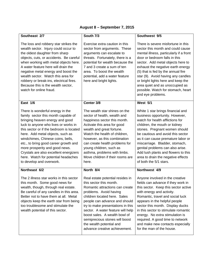| August 8 - September 7, 2015 |  |
|------------------------------|--|
|------------------------------|--|

| Southeast 2/7                                                                                                                                                                                                                                                                                                                                                                                                                                                   | South 7/3                                                                                                                                                                                                                                                                                                                                                                                           | Southwest 9/5                                                                                                                                                                                                                                                                                                                                                                                                                                 |  |
|-----------------------------------------------------------------------------------------------------------------------------------------------------------------------------------------------------------------------------------------------------------------------------------------------------------------------------------------------------------------------------------------------------------------------------------------------------------------|-----------------------------------------------------------------------------------------------------------------------------------------------------------------------------------------------------------------------------------------------------------------------------------------------------------------------------------------------------------------------------------------------------|-----------------------------------------------------------------------------------------------------------------------------------------------------------------------------------------------------------------------------------------------------------------------------------------------------------------------------------------------------------------------------------------------------------------------------------------------|--|
| The loss and robbery star strikes the<br>wealth sector. Injury could occur to<br>the oldest daughter from sharp<br>objects, cuts, or accidents. Be careful<br>when working with metal objects here.<br>A water feature here will drain the<br>negative metal energy and boost the<br>wealth sector. Watch this area for<br>robbery or break-ins, electrical fires.<br>Because this is the wealth sector,<br>watch for online fraud.                             | Exercise extra caution in this<br>sector from arguments. These<br>arguments can escalate to<br>threats. Fortunately, there is a<br>potential for wealth because the<br>7 and 3 create a sum of ten<br>area. To boost the wealth<br>potential, add a water feature<br>here and bright lights.                                                                                                        | There is severe misfortune in this<br>sector this month and could cause<br>mental illness, particularly if a front<br>door or bedroom falls in this<br>sector. Add metal objects here to<br>exhaust the negative earth energy<br>(5) that is fed by the annual fire<br>star (9). Avoid having any candles<br>or bright lights here and keep the<br>area quiet and as unoccupied as<br>possible. Watch for stomach, heart<br>and eye problems. |  |
| East 1/6                                                                                                                                                                                                                                                                                                                                                                                                                                                        | Center 3/8                                                                                                                                                                                                                                                                                                                                                                                          | <b>West 5/1</b>                                                                                                                                                                                                                                                                                                                                                                                                                               |  |
| There is wonderful energy in the<br>family sector this month capable of<br>bringing heaven energy and good<br>luck to anyone who lives or works in<br>this sector or if the bedroom is located<br>here. Add metal objects, such as<br>windchimes, Chinese coins, bells,<br>etc., to bring good career growth and<br>more prosperity and good news.<br>Crystals are also excellent energizers<br>here. Watch for potential headaches<br>to develop and overwork. | The wealth star shines on the<br>sector of health, wealth and<br>happiness sector this month.<br>Activate this area for good<br>wealth and great fortune.<br>Watch the health of children,<br>however, as this combination<br>can create health problems for<br>young children, such as<br>asthma, problems with limbs.<br>Move children if their rooms are<br>here.                                | White 1 star brings financial and<br>business opportunity. However,<br>watch for health afflictions for<br>children, the mouth or kidney<br>stones. Pregnant women should<br>be cautious and avoid this sector<br>as it can cause premature labor or<br>miscarriage. Bladder, stomach,<br>genital problems can also arise.<br>Add lush plants and flowers to this<br>area to drain the negative effects<br>of both the 5/1 stars.             |  |
| Northeast 6/2                                                                                                                                                                                                                                                                                                                                                                                                                                                   | North 8/4                                                                                                                                                                                                                                                                                                                                                                                           | Northwest 4/9                                                                                                                                                                                                                                                                                                                                                                                                                                 |  |
| The 2 illness star works in this sector<br>this month. Some good news for<br>wealth, though, through real estate.<br>Be careful of any candles in this area.<br>Better not to have them at all. Metal<br>objects keep the earth star from being<br>too troublesome and stimulate the<br>wealth potential of this sector.                                                                                                                                        | Real estate potential resides in<br>this sector this month.<br>Romantic attractions can create<br>problems. Avoid having<br>children located here. Sales<br>people can advance and should<br>try to make presentations in this<br>sector. A water feature will help<br>boost sales. A wealth bowl of<br>semiprecious stones will boost<br>the wealth potential and<br>advance creative achievement. | Anyone involved in the creative<br>fields can advance if they work in<br>this sector. Keep this sector active<br>with energy and activity.<br>Romantic, travel and social luck<br>appears in the helpful people<br>sector this month. Display ducks<br>in this sector to stimulate romantic<br>energy. No extra stimulation is<br>required. A good time to network<br>and make new contacts especially<br>for the man of the house.           |  |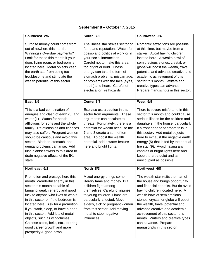| September 8 – October 7, 2015 |  |  |  |  |
|-------------------------------|--|--|--|--|
|-------------------------------|--|--|--|--|

| Southeast 2/6                                                                                                                                                                                                                                                                                                                                                                                                                                                        | South 7/2                                                                                                                                                                                                                                                                                                                                                                  | Southwest 9/4                                                                                                                                                                                                                                                                                                                                                                                                                                   |
|----------------------------------------------------------------------------------------------------------------------------------------------------------------------------------------------------------------------------------------------------------------------------------------------------------------------------------------------------------------------------------------------------------------------------------------------------------------------|----------------------------------------------------------------------------------------------------------------------------------------------------------------------------------------------------------------------------------------------------------------------------------------------------------------------------------------------------------------------------|-------------------------------------------------------------------------------------------------------------------------------------------------------------------------------------------------------------------------------------------------------------------------------------------------------------------------------------------------------------------------------------------------------------------------------------------------|
| Surprise money could come from<br>out of nowhere this month.<br>Winnings? Overdue payments?<br>Look for these this month if your<br>door, living room, or bedroom is<br>located here. Metal objects keep<br>the earth star from being too<br>troublesome and stimulate the<br>wealth potential of this sector.                                                                                                                                                       | The illness star strikes sector of<br>fame and reputation. Watch for<br>gossip and politics at work or in<br>your social interactions.<br>Careful not to make this area<br>too bright or loud. Illness<br>energy can take the form of<br>stomach problems, miscarriage,<br>or problems with the face (eyes,<br>mouth) and heart. Careful of<br>electrical or fire hazards. | Romantic attractions are possible<br>at this time, but maybe from a<br>stalker. Avoid having children<br>located here. A wealth bowl of<br>semiprecious stones, crystal, or<br>globe will boost the wealth, travel<br>potential and advance creative and<br>academic achievement of this<br>sector this month. Writers and<br>creative types can advance.<br>Prepare manuscripts in this sector.                                                |
| <b>East 1/5</b>                                                                                                                                                                                                                                                                                                                                                                                                                                                      | Center 3/7                                                                                                                                                                                                                                                                                                                                                                 | <b>West 5/9</b>                                                                                                                                                                                                                                                                                                                                                                                                                                 |
| This is a bad combination of<br>energies and clash of earth (5) and<br>water (1). Watch for health<br>afflictions for sons and the whole<br>family. Relationships and finances<br>may also suffer. Pregnant women<br>should be cautious and avoid this<br>sector. Bladder, stomach, and<br>genital problems can arise. Add<br>lush plants/ flowers to this area to<br>drain negative effects of the 5/1<br>stars.                                                    | Exercise extra caution in this<br>sector from arguments. These<br>arguments can escalate to<br>threats. Fortunately, there is a<br>potential for wealth because the<br>7 and 3 create a sum of ten<br>area. To boost the wealth<br>potential, add a water feature<br>here and bright lights.                                                                               | There is severe misfortune in this<br>sector this month and could cause<br>serious illness for the children and<br>daughters in the house, particularly<br>if a front door or bedroom falls in<br>this sector. Add metal objects<br>here to exhaust the negative earth<br>energy (5) that is fed by the annual<br>fire star (9). Avoid having any<br>candles or bright lights here and<br>keep the area quiet and as<br>unoccupied as possible. |
| Northeast 6/1                                                                                                                                                                                                                                                                                                                                                                                                                                                        | North 8/3                                                                                                                                                                                                                                                                                                                                                                  | Northwest 4/8                                                                                                                                                                                                                                                                                                                                                                                                                                   |
| Promotion and prestige here this<br>month. Wonderful energy in this<br>sector this month capable of<br>bringing wealth energy and good<br>luck to anyone who lives or works<br>in this sector or if the bedroom is<br>located here. Ask for a promotion<br>if you work, sleep, or have a door<br>in this sector. Add lots of metal<br>objects, such as windchimes,<br>Chinese coins, bells, etc., to bring<br>good career growth and more<br>prosperity & good news. | Mixed energy brings some<br>literary fame and money. But<br>children fight among<br>themselves. Careful of injuries<br>to young children. Limbs are<br>particularly affected. Move<br>elderly, sick or pregnant women<br>from this sector. Add moving<br>metal to stop negative<br>influences.                                                                             | The wealth star visits the man of<br>the house and brings opportunity<br>and financial benefits. But do avoid<br>having children located here. A<br>wealth bowl of semiprecious<br>stones, crystal, or globe will boost<br>the wealth, travel potential and<br>advance creative and academic<br>achievement of this sector this<br>month. Writers and creative types<br>can advance. Prepare<br>manuscripts in this sector.                     |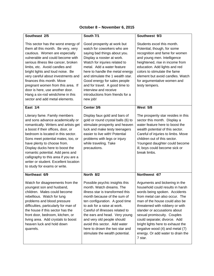| Southeast 2/5                                                                                                                                                                                                                                                                                                                                                                                                                                                                | South 7/1                                                                                                                                                                                                                                                                                                                                                                                                 | Southwest 9/3                                                                                                                                                                                                                                                                                                                                                                                                                      |
|------------------------------------------------------------------------------------------------------------------------------------------------------------------------------------------------------------------------------------------------------------------------------------------------------------------------------------------------------------------------------------------------------------------------------------------------------------------------------|-----------------------------------------------------------------------------------------------------------------------------------------------------------------------------------------------------------------------------------------------------------------------------------------------------------------------------------------------------------------------------------------------------------|------------------------------------------------------------------------------------------------------------------------------------------------------------------------------------------------------------------------------------------------------------------------------------------------------------------------------------------------------------------------------------------------------------------------------------|
| This sector has the worst energy of<br>them all this month. Be very, very<br>cautious. Women are especially<br>vulnerable and could become with<br>serious illness like cancer, broken<br>limbs, etc. Avoid candles and<br>bright lights and loud noise. Be<br>very careful about investments and<br>finances this month. Move<br>pregnant women from this area. If<br>door is here, use another door.<br>Hang a six-rod windchime in this<br>sector and add metal elements. | Good prosperity at work but<br>watch for coworkers who are<br>saying bad things about you.<br>Display a rooster at work.<br>Watch for injuries related to<br>metal. Add a water feature<br>here to handle the metal energy<br>and stimulate the 1 wealth star.<br>Good energy for sales people<br>and for travel. A good time to<br>interview and receive<br>introductions from friends for a<br>new job! | Students excel this month.<br>Potential, though, for some<br>recognition and fame for women<br>and young men. Intelligence<br>heightened, rise in income from<br>education. Add lights and red<br>colors to stimulate the fame<br>element but avoid candles. Watch<br>for argumentative women and<br>testy tempers.                                                                                                                |
| East 1/4                                                                                                                                                                                                                                                                                                                                                                                                                                                                     | Center 3/6                                                                                                                                                                                                                                                                                                                                                                                                | <b>West 5/8</b>                                                                                                                                                                                                                                                                                                                                                                                                                    |
| Literary fame. Family members<br>and sons advance academically or<br>romantically. Writers and artists get<br>a boost if their offices, door, or<br>bedroom is located in this sector.<br>Sons meet potential mates, too, or<br>have plenty to choose from.<br>Display ducks here to boost the<br>romantic potential. Add pens and<br>calligraphy to this area if you are a<br>writer or student. Excellent location<br>to study for exams or write.                         | Display faux gold and bars of<br>gold or round crystal balls (6) to<br>stimulate prosperity and heaven<br>luck and make testy teenagers<br>easier to live with! Potential<br>problems with legs or injury<br>while traveling. Take<br>precautions.                                                                                                                                                        | The prosperity star resides in this<br>sector this month. Display a<br>water feature here to boost the<br>wealth potential of this sector.<br>Careful of injuries to limbs. Move<br>children out of this sector.<br>Youngest daughter could become<br>ill, boys could become sick or<br>break limbs.                                                                                                                               |
| Northeast 6/9                                                                                                                                                                                                                                                                                                                                                                                                                                                                | North 8/2                                                                                                                                                                                                                                                                                                                                                                                                 | Northwest 4/7                                                                                                                                                                                                                                                                                                                                                                                                                      |
| Watch for disagreements from the<br>youngest son and husband,<br>children. Males could become<br>rebellious. Watch for lung<br>problems and blood pressure<br>difficulties, particularly for man of<br>the house if this sector has the<br>front door, bedroom, kitchen, or<br>living area. Add crystals to boost<br>heaven luck and hold down<br>quarrels.                                                                                                                  | Possible psychic insights this<br>month. Watch dreams. The<br>illness star is transformed this<br>month because of the sum of<br>ten configuration. A good time<br>to ask for a raise at work.<br>Careful of illnesses related to<br>the ears and head. Very young<br>and very old people should<br>avoid this sector. Add water<br>here to drown the two star and<br>stimulate the wealth potential.     | Arguments and bickering in the<br>household could results in harsh.<br>words being spoken. Accidents<br>from metal can also occur. The<br>man of the house could also be<br>threatened with robbery or with<br>slander or accusations about<br>sexual promiscuity. Couples<br>could separate; divorce. Add<br>bright lights here to exhaust the<br>negative wood (4) and metal (7)<br>energy. Or add water to drain the<br>7 star. |

#### **October 8 – November 6, 2015**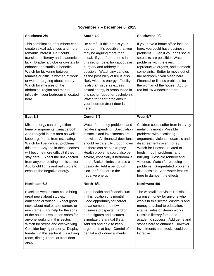| Southeast 2/4                                                                                                                                                                                                                                                                                                                                                                                                                              | South 7/9                                                                                                                                                                                                                                                                                                                                                                                                                                                                              | Southwest 9/2                                                                                                                                                                                                                                                                                                                                                                                            |
|--------------------------------------------------------------------------------------------------------------------------------------------------------------------------------------------------------------------------------------------------------------------------------------------------------------------------------------------------------------------------------------------------------------------------------------------|----------------------------------------------------------------------------------------------------------------------------------------------------------------------------------------------------------------------------------------------------------------------------------------------------------------------------------------------------------------------------------------------------------------------------------------------------------------------------------------|----------------------------------------------------------------------------------------------------------------------------------------------------------------------------------------------------------------------------------------------------------------------------------------------------------------------------------------------------------------------------------------------------------|
| This combination of numbers can<br>create sexual advances and more<br>romantic interest. Or it could<br>translate to literary and academic<br>luck. Display a globe or crystals to<br>enhance the studious benefits.<br>Watch for bickering between<br>females or difficult women at work<br>or women arguing about money.<br>Watch for illnesses of the<br>abdominal region and marital<br>infidelity if your bedroom is located<br>here. | Be careful if this area is your<br>bedroom. It's possible that you<br>may be arguing more than<br>usual. If your front door is in<br>this sector, be extra cautious as<br>burglary and robbery is<br>possible. Watch any candles<br>as the possibility of fire is also<br>likely with this energy. Fidelity<br>is also an issue as excess<br>sexual energy is pronounced in<br>this sector (good for bachelors).<br>Watch for heart problems if<br>your bedroom/front door is<br>here. | If you have a home office located<br>here, you could have business<br>problems. Even if you don't social<br>setbacks are possible. Watch for<br>problems with the eyes,<br>reproductive organs, and stomach<br>complaints. Better to move out of<br>the bedroom if you sleep here.<br>Financial or illness problems for<br>the woman of the house. Add 6-<br>rod hollow windchime here.                  |
| <b>East 1/3</b>                                                                                                                                                                                                                                                                                                                                                                                                                            | Center 3/5                                                                                                                                                                                                                                                                                                                                                                                                                                                                             | <b>West 5/7</b>                                                                                                                                                                                                                                                                                                                                                                                          |
| Mixed energy can bring either<br>fame or argumentsmaybe both.<br>Add red/gold in this area as well to<br>keep arguments from escalating.<br>Watch for liver-related problems in<br>this area. Anyone in these sectors<br>will become more difficult if they<br>stay here. Expect the unexpected<br>from anyone residing in this sector.<br>Add bright lights and red colors to<br>exhaust the negative energy.                             | Watch for money problems and<br>reckless spending. Speculation<br>in stocks and investments are<br>not wise. All financial decisions<br>should be carefully thought over<br>as there can be bankruptcy.<br>Health problems could also be<br>severe, especially if bedroom is<br>here. Broken limbs are also a<br>possibility. Add a pendulum<br>clock or fan to drain the<br>negative energy.                                                                                          | Children could suffer from injury by<br>metal this month. Possible<br>problems with escalating<br>arguments, violence, quarrels and<br>disagreements over money.<br>Watch for illnesses related to<br>foods, mouth problems, and<br>bullying. Possible robbery and<br>violence. Watch for bleeding<br>problems. Drug-related problems<br>also possible. Add water feature<br>here to dampen the effects. |
| Northeast 6/8                                                                                                                                                                                                                                                                                                                                                                                                                              | North 8/1                                                                                                                                                                                                                                                                                                                                                                                                                                                                              | Northwest 4/6                                                                                                                                                                                                                                                                                                                                                                                            |
| Excellent wealth stars could bring<br>great news about studies,<br>education or writing. Expect good<br>news about real estate, career, or<br>even fame. BIG help for the sons<br>of the house! Reputation soars for<br>anyone working in this sector.<br>Watch for stress and overworking.<br>Consider buying property. Display<br>fountain in this sector if it is a living<br>room, dining, room, or front door<br>area.                | Great health and financial luck<br>in this location this month!<br>Good opportunity for career<br>advancement and new<br>business prospects. Bird or<br>horse figures and pictures<br>stimulate the annual 8 star.<br>Add red and gold to keep<br>arguments at bay. Careful of<br>genital and kidney ailments.                                                                                                                                                                         | The windfall star visits! Possible<br>surprise money for anyone who<br>works in this sector. Windfalls and<br>money attached to education,<br>exams, sales or literary works.<br>Possible literary fame and<br>academic success. Add gems and<br>stones here to enhance. However,<br>investments and stocks could be<br>lucrative.                                                                       |

#### **November 7 – December 6, 2015**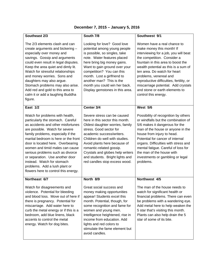| Southeast 2/3                                                                                                                                                                                                                                                                                                                                                                                                                                                                    | South 7/8                                                                                                                                                                                                                                                                                                                                                       | Southwest 9/1                                                                                                                                                                                                                                                                                                                                                                                                         |
|----------------------------------------------------------------------------------------------------------------------------------------------------------------------------------------------------------------------------------------------------------------------------------------------------------------------------------------------------------------------------------------------------------------------------------------------------------------------------------|-----------------------------------------------------------------------------------------------------------------------------------------------------------------------------------------------------------------------------------------------------------------------------------------------------------------------------------------------------------------|-----------------------------------------------------------------------------------------------------------------------------------------------------------------------------------------------------------------------------------------------------------------------------------------------------------------------------------------------------------------------------------------------------------------------|
| The 2/3 elements clash and can<br>create arguments and bickering -<br>especially over money and<br>savings. Gossip and arguments<br>could even result in legal disputes.<br>Keep the area quiet and dimly lit.<br>Watch for stressful relationships<br>and money worries. Sons and<br>daughters may also argue.<br>Stomach problems may also arise.<br>Add red and gold to this area to<br>calm it or add a laughing Buddha<br>figure.                                           | Looking for love? Good love<br>potential among young people<br>is possible, so singles, take<br>note. Water features placed<br>here bring big money gains.<br>Want to gain ground over your<br>competition? You can this<br>month. Lost a girlfriend to<br>another man? This is the<br>month you could win her back.<br>Display gemstones in this area.         | Women have a real chance to<br>make money this month! If<br>interviewing for a job, you will beat<br>the competition. Consider a<br>fountain in this area to boost the<br>wealth potential as this is a sum of<br>ten area. Do watch for heart<br>problems, venereal and<br>reproductive difficulties, fertility, or<br>miscarriage potential. Add crystals<br>and stone or earth elements to<br>control this energy. |
| <b>East 1/2</b>                                                                                                                                                                                                                                                                                                                                                                                                                                                                  | Center 3/4                                                                                                                                                                                                                                                                                                                                                      | <b>West 5/6</b>                                                                                                                                                                                                                                                                                                                                                                                                       |
| Watch for problems with health,<br>particularly the stomach. Careful<br>as accidents and other misfortunes<br>are possible. Watch for severe<br>family problems, especially if the<br>marital bedroom is here or the front<br>door is located here. Overbearing<br>women and timid males can cause<br>serious problems such as divorce<br>or separation. Use another door<br>instead. Watch for stomach<br>problems. Add a lush plant or<br>flowers here to control this energy. | Severe stress can be caused<br>here in this sector this month.<br>Oldest daughter worries, family<br>stress. Good sector for<br>academic success/writers.<br>Children do well with studies.<br>Avoid plants here because of<br>romantic-related gossip.<br>Crystals and globes help writers<br>and students. Bright lights and<br>red candles stop excess wood. | Possibility of recognition by others<br>or windfalls but the combination of<br>5/6 makes it dangerous for the<br>man of the house or anyone in the<br>house from injury to head.<br>Potential for cancer of internal<br>organs. Difficulties with stress and<br>mental fatigue. Careful of loss for<br>the man of the house with<br>investments or gambling or legal<br>problems.                                     |
| Northeast 6/7                                                                                                                                                                                                                                                                                                                                                                                                                                                                    | North 8/9                                                                                                                                                                                                                                                                                                                                                       | Northwest 4/5                                                                                                                                                                                                                                                                                                                                                                                                         |
| Watch for disagreements and<br>violence. Potential for bleeding<br>and blood loss. Move out of here if<br>there is pregnancy. Potential for<br>miscarriage. Add water here to<br>curb the metal energy or if this is a<br>bedroom, add blue linens, black<br>accents to control the metal<br>energy. Watch for dog bites.                                                                                                                                                        | Great social success and<br>money making opportunities<br>appear! Students excel this<br>month. Potential, though, for<br>some recognition and fame for<br>women and young men.<br>Intelligence heightened, rise in<br>income from education. Add<br>lights and red colors to<br>stimulate the fame element but<br>avoid candles.                               | The man of the house needs to<br>watch for significant health or<br>financial problems. There can even<br>be problems with a wandering eye.<br>Add metal here to help weaken the<br>5 star that's visiting this month.<br>Plants can also help drain the 5<br>star of some of its bite.                                                                                                                               |

# **December 7, 2015 – January 5, 2016**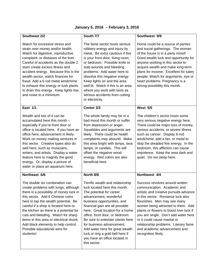| Southeast 2/2                                                                                                                                                                                                                                                                                                                                                                                                                                                           | South 7/7                                                                                                                                                                                                                                                                                                                                                                                                                                                              | Southwest 9/9                                                                                                                                                                                                                                                                                                                                                                                                                                          |
|-------------------------------------------------------------------------------------------------------------------------------------------------------------------------------------------------------------------------------------------------------------------------------------------------------------------------------------------------------------------------------------------------------------------------------------------------------------------------|------------------------------------------------------------------------------------------------------------------------------------------------------------------------------------------------------------------------------------------------------------------------------------------------------------------------------------------------------------------------------------------------------------------------------------------------------------------------|--------------------------------------------------------------------------------------------------------------------------------------------------------------------------------------------------------------------------------------------------------------------------------------------------------------------------------------------------------------------------------------------------------------------------------------------------------|
| Watch for excessive stress and<br>strain over money and/or health.<br>Watch for digestive, reproductive<br>complaint, or diseases of the liver.<br>Careful of accidents as the double 2<br>stars create excess illness and<br>accident energy. Because this is the<br>wealth sector, watch finances for<br>fraud. Add a 6 rod metal windchime<br>to exhaust this energy or lush plants<br>to drain this energy. Keep lights low,<br>and noise to a minimum.             | The fame sector hosts serious<br>robbery energy and injury by<br>metal. Be extra cautious if this<br>is your front door, living room,<br>or bedroom. Possible knife or<br>stab wounds and bleeding<br>problems. Add water here to<br>dissolve this negative energy.<br>Keep lights on and the area<br>well-lit. Watch if this is an area<br>where you work with tools as<br>serious accidents from cutting<br>or electricity.                                          | Home could be a source of parties<br>and social gatherings. The woman<br>of the house is in a party mood!<br>Good wealth luck and opportunity for<br>anyone working in this sector to<br>acquire wealth and make long-term<br>plans for income. Excellent for sales<br>people. Watch for arguments, eye or<br>heart problems. Pregnancy is a<br>strong possibility this month.                                                                         |
| East 1/1                                                                                                                                                                                                                                                                                                                                                                                                                                                                | Center 3/3                                                                                                                                                                                                                                                                                                                                                                                                                                                             | <b>West 5/5</b>                                                                                                                                                                                                                                                                                                                                                                                                                                        |
| Wealth and lots of it can be<br>accumulated here this month -<br>especially if you're front door or<br>office is located here. If you have an<br>office here, advancement is likely.<br>Work on money making ventures in<br>this sector. Creative types also do<br>well here, such as musicians,<br>writers, and artists. Display a water<br>feature here to magnify the good<br>energy. Or, display a picture of<br>water or place an aquarium here.                   | The whole family may be in a<br>bad mood this month or suffer<br>from depression or anger.<br>Squabbles and arguments are<br>likely. There could be health<br>complaints may abound. Make<br>this area bright with lamps, lava<br>lamps, or candles. This will<br>offset the negative wood<br>energy. Red colors are also<br>beneficial here.                                                                                                                          | The children's sector hosts some<br>very serious negative energy here.<br>There could be major loss of money,<br>serious accidents, or severe illness<br>such as cancer. Display 6-rod<br>windchime, add a fan, or metal to<br>stop the dreaded five energy. In the<br>bedroom, this affliction can cause<br>impotence. Keep the area dark and<br>quiet. Do not sleep here.                                                                            |
| Northeast 6/6<br>The double six combination can<br>create problems with lungs, although<br>there is a possibility of money luck in<br>this sector. Add 6 Chinese coins<br>here to tap the wealth potential. Be<br>careful if a shop is located here or<br>the kitchen as there is a potential for<br>cuts and bleeding. Watch for sharp<br>items in this area or electrical shock.<br>Add black elements to help control.<br>Possible educational wins for<br>students! | North 8/8<br>Terrific wealth and relationship<br>luck located here this month.<br>The potential for career<br>advancement, wonderful<br>business opportunities, and<br>financial gain are all possible<br>here. Great location for a home<br>office, front door, or bedroom.<br>Be sure to entertain clients here<br>for business advancement.<br>Add water here for great wealth<br>luck or ring a gold bell here if<br>you have an office located in<br>this sector. | Northwest 4/4<br>Success revolves around written<br>communication. Academic and<br>artistic and creative pursuits advance<br>in this sector. Romance luck also<br>flourishes. Men may see many<br>women being attracted to them. Add<br>plants or flowers to boost love luck if<br>you are single. Don't add water here<br>or it could cause marital or<br>relationship problems. Literary fame<br>and academic advancement and<br>recognition likely. |

# **January 5, 2016 – February 3, 2016**